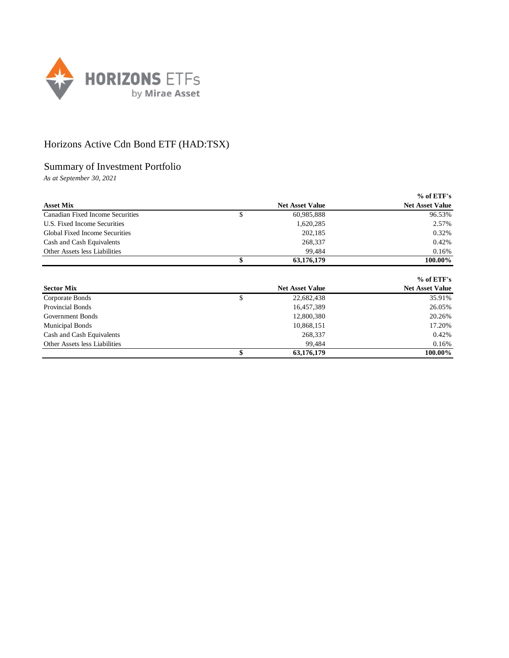

## Horizons Active Cdn Bond ETF (HAD:TSX)

## Summary of Investment Portfolio

*As at September 30, 2021*

|                                  |                        | $%$ of ETF's           |
|----------------------------------|------------------------|------------------------|
| <b>Asset Mix</b>                 | <b>Net Asset Value</b> | <b>Net Asset Value</b> |
| Canadian Fixed Income Securities | \$<br>60,985,888       | 96.53%                 |
| U.S. Fixed Income Securities     | 1,620,285              | 2.57%                  |
| Global Fixed Income Securities   | 202,185                | 0.32%                  |
| Cash and Cash Equivalents        | 268,337                | 0.42%                  |
| Other Assets less Liabilities    | 99,484                 | 0.16%                  |
|                                  | \$<br>63,176,179       | 100.00%                |
|                                  |                        |                        |
|                                  |                        | $%$ of ETF's           |
| <b>Sector Mix</b>                | <b>Net Asset Value</b> | <b>Net Asset Value</b> |
| Corporate Bonds                  | \$<br>22,682,438       | 35.91%                 |
| <b>Provincial Bonds</b>          | 16,457,389             | 26.05%                 |
| Government Bonds                 | 12,800,380             | 20.26%                 |
| <b>Municipal Bonds</b>           | 10,868,151             | 17.20%                 |
| Cash and Cash Equivalents        | 268,337                | 0.42%                  |
| Other Assets less Liabilities    | 99,484                 | 0.16%                  |
|                                  | \$<br>63,176,179       | 100.00%                |